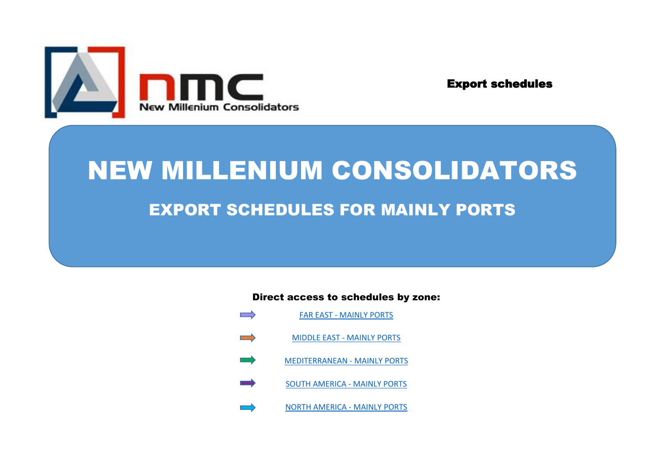

Export schedules

# NEW MILLENIUM CONSOLIDATORS EXPORT SCHEDULES FOR MAINLY PORTS

Direct access to schedules by zone:

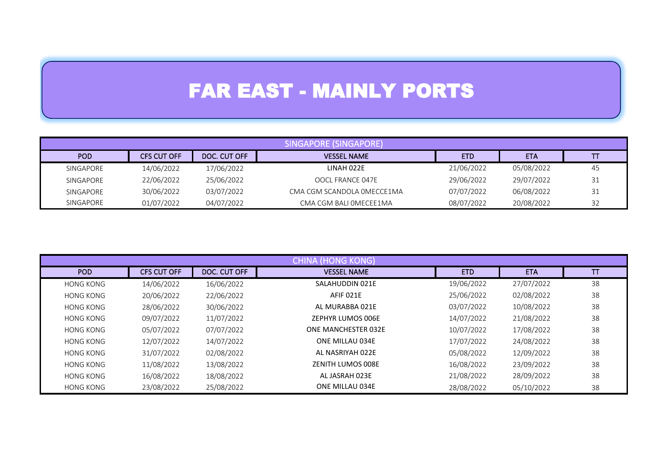# FAR EAST - MAINLY PORTS

| SINGAPORE (SINGAPORE) |             |              |                            |            |            |    |  |
|-----------------------|-------------|--------------|----------------------------|------------|------------|----|--|
| POD                   | CFS CUT OFF | DOC. CUT OFF | <b>VESSEL NAME</b>         | <b>ETD</b> | <b>ETA</b> |    |  |
| SINGAPORE             | 14/06/2022  | 17/06/2022   | LINAH 022E                 | 21/06/2022 | 05/08/2022 | 45 |  |
| SINGAPORE             | 22/06/2022  | 25/06/2022   | OOCL FRANCE 047E           | 29/06/2022 | 29/07/2022 | 31 |  |
| SINGAPORE             | 30/06/2022  | 03/07/2022   | CMA CGM SCANDOLA OMECCE1MA | 07/07/2022 | 06/08/2022 | 31 |  |
| SINGAPORE             | 01/07/2022  | 04/07/2022   | CMA CGM BALI OMECEE1MA     | 08/07/2022 | 20/08/2022 | 32 |  |

|                  | <b>CHINA (HONG KONG)</b> |              |                     |            |            |    |  |  |  |
|------------------|--------------------------|--------------|---------------------|------------|------------|----|--|--|--|
| POD              | <b>CFS CUT OFF</b>       | DOC. CUT OFF | <b>VESSEL NAME</b>  | <b>ETD</b> | <b>ETA</b> | П  |  |  |  |
| <b>HONG KONG</b> | 14/06/2022               | 16/06/2022   | SALAHUDDIN 021E     | 19/06/2022 | 27/07/2022 | 38 |  |  |  |
| <b>HONG KONG</b> | 20/06/2022               | 22/06/2022   | AFIF 021E           | 25/06/2022 | 02/08/2022 | 38 |  |  |  |
| <b>HONG KONG</b> | 28/06/2022               | 30/06/2022   | AL MURABBA 021E     | 03/07/2022 | 10/08/2022 | 38 |  |  |  |
| <b>HONG KONG</b> | 09/07/2022               | 11/07/2022   | ZEPHYR LUMOS 006E   | 14/07/2022 | 21/08/2022 | 38 |  |  |  |
| <b>HONG KONG</b> | 05/07/2022               | 07/07/2022   | ONE MANCHESTER 032E | 10/07/2022 | 17/08/2022 | 38 |  |  |  |
| <b>HONG KONG</b> | 12/07/2022               | 14/07/2022   | ONE MILLAU 034E     | 17/07/2022 | 24/08/2022 | 38 |  |  |  |
| <b>HONG KONG</b> | 31/07/2022               | 02/08/2022   | AL NASRIYAH 022E    | 05/08/2022 | 12/09/2022 | 38 |  |  |  |
| <b>HONG KONG</b> | 11/08/2022               | 13/08/2022   | ZENITH LUMOS 008E   | 16/08/2022 | 23/09/2022 | 38 |  |  |  |
| <b>HONG KONG</b> | 16/08/2022               | 18/08/2022   | AL JASRAH 023E      | 21/08/2022 | 28/09/2022 | 38 |  |  |  |
| <b>HONG KONG</b> | 23/08/2022               | 25/08/2022   | ONE MILLAU 034E     | 28/08/2022 | 05/10/2022 | 38 |  |  |  |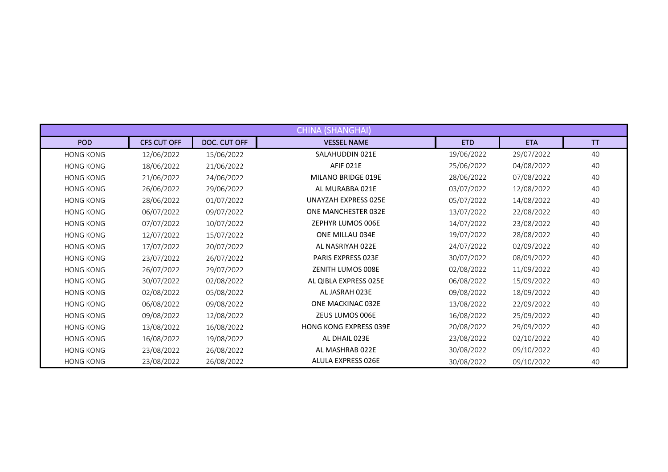| <b>CHINA (SHANGHAI)</b> |                    |              |                               |            |            |    |  |  |
|-------------------------|--------------------|--------------|-------------------------------|------------|------------|----|--|--|
| <b>POD</b>              | <b>CFS CUT OFF</b> | DOC. CUT OFF | <b>VESSEL NAME</b>            | <b>ETD</b> | <b>ETA</b> | TT |  |  |
| <b>HONG KONG</b>        | 12/06/2022         | 15/06/2022   | SALAHUDDIN 021E               | 19/06/2022 | 29/07/2022 | 40 |  |  |
| <b>HONG KONG</b>        | 18/06/2022         | 21/06/2022   | AFIF 021E                     | 25/06/2022 | 04/08/2022 | 40 |  |  |
| <b>HONG KONG</b>        | 21/06/2022         | 24/06/2022   | MILANO BRIDGE 019E            | 28/06/2022 | 07/08/2022 | 40 |  |  |
| <b>HONG KONG</b>        | 26/06/2022         | 29/06/2022   | AL MURABBA 021E               | 03/07/2022 | 12/08/2022 | 40 |  |  |
| <b>HONG KONG</b>        | 28/06/2022         | 01/07/2022   | <b>UNAYZAH EXPRESS 025E</b>   | 05/07/2022 | 14/08/2022 | 40 |  |  |
| <b>HONG KONG</b>        | 06/07/2022         | 09/07/2022   | <b>ONE MANCHESTER 032E</b>    | 13/07/2022 | 22/08/2022 | 40 |  |  |
| <b>HONG KONG</b>        | 07/07/2022         | 10/07/2022   | <b>ZEPHYR LUMOS 006E</b>      | 14/07/2022 | 23/08/2022 | 40 |  |  |
| <b>HONG KONG</b>        | 12/07/2022         | 15/07/2022   | ONE MILLAU 034E               | 19/07/2022 | 28/08/2022 | 40 |  |  |
| <b>HONG KONG</b>        | 17/07/2022         | 20/07/2022   | AL NASRIYAH 022E              | 24/07/2022 | 02/09/2022 | 40 |  |  |
| <b>HONG KONG</b>        | 23/07/2022         | 26/07/2022   | <b>PARIS EXPRESS 023E</b>     | 30/07/2022 | 08/09/2022 | 40 |  |  |
| <b>HONG KONG</b>        | 26/07/2022         | 29/07/2022   | ZENITH LUMOS 008E             | 02/08/2022 | 11/09/2022 | 40 |  |  |
| <b>HONG KONG</b>        | 30/07/2022         | 02/08/2022   | AL QIBLA EXPRESS 025E         | 06/08/2022 | 15/09/2022 | 40 |  |  |
| <b>HONG KONG</b>        | 02/08/2022         | 05/08/2022   | AL JASRAH 023E                | 09/08/2022 | 18/09/2022 | 40 |  |  |
| <b>HONG KONG</b>        | 06/08/2022         | 09/08/2022   | ONE MACKINAC 032E             | 13/08/2022 | 22/09/2022 | 40 |  |  |
| <b>HONG KONG</b>        | 09/08/2022         | 12/08/2022   | ZEUS LUMOS 006E               | 16/08/2022 | 25/09/2022 | 40 |  |  |
| <b>HONG KONG</b>        | 13/08/2022         | 16/08/2022   | <b>HONG KONG EXPRESS 039E</b> | 20/08/2022 | 29/09/2022 | 40 |  |  |
| <b>HONG KONG</b>        | 16/08/2022         | 19/08/2022   | AL DHAIL 023E                 | 23/08/2022 | 02/10/2022 | 40 |  |  |
| <b>HONG KONG</b>        | 23/08/2022         | 26/08/2022   | AL MASHRAB 022E               | 30/08/2022 | 09/10/2022 | 40 |  |  |
| <b>HONG KONG</b>        | 23/08/2022         | 26/08/2022   | ALULA EXPRESS 026E            | 30/08/2022 | 09/10/2022 | 40 |  |  |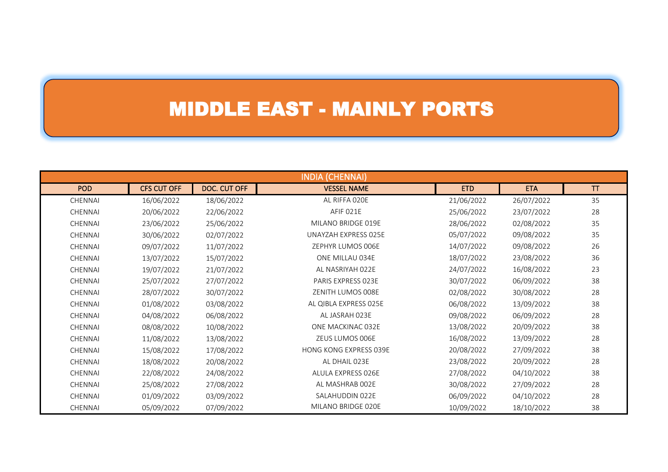### MIDDLE EAST - MAINLY PORTS

| <b>INDIA (CHENNAI)</b> |                    |              |                               |            |            |    |  |
|------------------------|--------------------|--------------|-------------------------------|------------|------------|----|--|
| <b>POD</b>             | <b>CFS CUT OFF</b> | DOC. CUT OFF | <b>VESSEL NAME</b>            | <b>ETD</b> | <b>ETA</b> | TT |  |
| CHENNAI                | 16/06/2022         | 18/06/2022   | AL RIFFA 020E                 | 21/06/2022 | 26/07/2022 | 35 |  |
| CHENNAI                | 20/06/2022         | 22/06/2022   | AFIF 021E                     | 25/06/2022 | 23/07/2022 | 28 |  |
| CHENNAI                | 23/06/2022         | 25/06/2022   | MILANO BRIDGE 019E            | 28/06/2022 | 02/08/2022 | 35 |  |
| <b>CHENNAI</b>         | 30/06/2022         | 02/07/2022   | UNAYZAH EXPRESS 025E          | 05/07/2022 | 09/08/2022 | 35 |  |
| <b>CHENNAI</b>         | 09/07/2022         | 11/07/2022   | ZEPHYR LUMOS 006E             | 14/07/2022 | 09/08/2022 | 26 |  |
| <b>CHENNAI</b>         | 13/07/2022         | 15/07/2022   | ONE MILLAU 034E               | 18/07/2022 | 23/08/2022 | 36 |  |
| <b>CHENNAI</b>         | 19/07/2022         | 21/07/2022   | AL NASRIYAH 022E              | 24/07/2022 | 16/08/2022 | 23 |  |
| <b>CHENNAI</b>         | 25/07/2022         | 27/07/2022   | PARIS EXPRESS 023E            | 30/07/2022 | 06/09/2022 | 38 |  |
| CHENNAI                | 28/07/2022         | 30/07/2022   | ZENITH LUMOS 008E             | 02/08/2022 | 30/08/2022 | 28 |  |
| CHENNAI                | 01/08/2022         | 03/08/2022   | AL QIBLA EXPRESS 025E         | 06/08/2022 | 13/09/2022 | 38 |  |
| <b>CHENNAI</b>         | 04/08/2022         | 06/08/2022   | AL JASRAH 023E                | 09/08/2022 | 06/09/2022 | 28 |  |
| <b>CHENNAI</b>         | 08/08/2022         | 10/08/2022   | ONE MACKINAC 032E             | 13/08/2022 | 20/09/2022 | 38 |  |
| <b>CHENNAI</b>         | 11/08/2022         | 13/08/2022   | ZEUS LUMOS 006E               | 16/08/2022 | 13/09/2022 | 28 |  |
| <b>CHENNAI</b>         | 15/08/2022         | 17/08/2022   | <b>HONG KONG EXPRESS 039E</b> | 20/08/2022 | 27/09/2022 | 38 |  |
| <b>CHENNAI</b>         | 18/08/2022         | 20/08/2022   | AL DHAIL 023E                 | 23/08/2022 | 20/09/2022 | 28 |  |
| <b>CHENNAI</b>         | 22/08/2022         | 24/08/2022   | ALULA EXPRESS 026E            | 27/08/2022 | 04/10/2022 | 38 |  |
| CHENNAI                | 25/08/2022         | 27/08/2022   | AL MASHRAB 002E               | 30/08/2022 | 27/09/2022 | 28 |  |
| CHENNAI                | 01/09/2022         | 03/09/2022   | SALAHUDDIN 022E               | 06/09/2022 | 04/10/2022 | 28 |  |
| CHENNAI                | 05/09/2022         | 07/09/2022   | MILANO BRIDGE 020E            | 10/09/2022 | 18/10/2022 | 38 |  |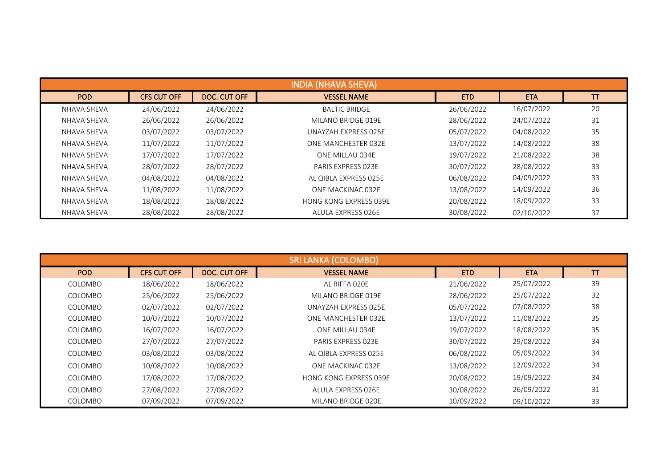| <b>INDIA (NHAVA SHEVA)</b> |                    |              |                               |            |            |           |  |  |
|----------------------------|--------------------|--------------|-------------------------------|------------|------------|-----------|--|--|
| POD                        | <b>CFS CUT OFF</b> | DOC. CUT OFF | <b>VESSEL NAME</b>            | <b>ETD</b> | <b>ETA</b> | <b>TT</b> |  |  |
| NHAVA SHEVA                | 24/06/2022         | 24/06/2022   | <b>BALTIC BRIDGE</b>          | 26/06/2022 | 16/07/2022 | 20        |  |  |
| NHAVA SHEVA                | 26/06/2022         | 26/06/2022   | MILANO BRIDGE 019E            | 28/06/2022 | 24/07/2022 | 31        |  |  |
| NHAVA SHEVA                | 03/07/2022         | 03/07/2022   | UNAYZAH EXPRESS 025E          | 05/07/2022 | 04/08/2022 | 35        |  |  |
| NHAVA SHEVA                | 11/07/2022         | 11/07/2022   | ONE MANCHESTER 032E           | 13/07/2022 | 14/08/2022 | 38        |  |  |
| NHAVA SHEVA                | 17/07/2022         | 17/07/2022   | ONE MILLAU 034E               | 19/07/2022 | 21/08/2022 | 38        |  |  |
| NHAVA SHEVA                | 28/07/2022         | 28/07/2022   | <b>PARIS EXPRESS 023F</b>     | 30/07/2022 | 28/08/2022 | 33        |  |  |
| NHAVA SHEVA                | 04/08/2022         | 04/08/2022   | AL QIBLA EXPRESS 025E         | 06/08/2022 | 04/09/2022 | 33        |  |  |
| NHAVA SHEVA                | 11/08/2022         | 11/08/2022   | ONE MACKINAC 032E             | 13/08/2022 | 14/09/2022 | 36        |  |  |
| NHAVA SHEVA                | 18/08/2022         | 18/08/2022   | <b>HONG KONG EXPRESS 039E</b> | 20/08/2022 | 18/09/2022 | 33        |  |  |
| NHAVA SHEVA                | 28/08/2022         | 28/08/2022   | ALULA EXPRESS 026E            | 30/08/2022 | 02/10/2022 | 37        |  |  |

| <b>SRI LANKA (COLOMBO)</b> |                    |              |                               |            |            |    |  |
|----------------------------|--------------------|--------------|-------------------------------|------------|------------|----|--|
| POD                        | <b>CFS CUT OFF</b> | DOC. CUT OFF | <b>VESSEL NAME</b>            | <b>ETD</b> | <b>ETA</b> | TТ |  |
| COLOMBO                    | 18/06/2022         | 18/06/2022   | AL RIFFA 020E                 | 21/06/2022 | 25/07/2022 | 39 |  |
| COLOMBO                    | 25/06/2022         | 25/06/2022   | MILANO BRIDGE 019E            | 28/06/2022 | 25/07/2022 | 32 |  |
| COLOMBO                    | 02/07/2022         | 02/07/2022   | UNAYZAH EXPRESS 025E          | 05/07/2022 | 07/08/2022 | 38 |  |
| COLOMBO                    | 10/07/2022         | 10/07/2022   | ONE MANCHESTER 032E           | 13/07/2022 | 11/08/2022 | 35 |  |
| COLOMBO                    | 16/07/2022         | 16/07/2022   | ONE MILLAU 034E               | 19/07/2022 | 18/08/2022 | 35 |  |
| COLOMBO                    | 27/07/2022         | 27/07/2022   | PARIS EXPRESS 023E            | 30/07/2022 | 29/08/2022 | 34 |  |
| COLOMBO                    | 03/08/2022         | 03/08/2022   | AL QIBLA EXPRESS 025E         | 06/08/2022 | 05/09/2022 | 34 |  |
| COLOMBO                    | 10/08/2022         | 10/08/2022   | ONE MACKINAC 032E             | 13/08/2022 | 12/09/2022 | 34 |  |
| COLOMBO                    | 17/08/2022         | 17/08/2022   | <b>HONG KONG EXPRESS 039E</b> | 20/08/2022 | 19/09/2022 | 34 |  |
| COLOMBO                    | 27/08/2022         | 27/08/2022   | ALULA EXPRESS 026E            | 30/08/2022 | 26/09/2022 | 31 |  |
| COLOMBO                    | 07/09/2022         | 07/09/2022   | MILANO BRIDGE 020E            | 10/09/2022 | 09/10/2022 | 33 |  |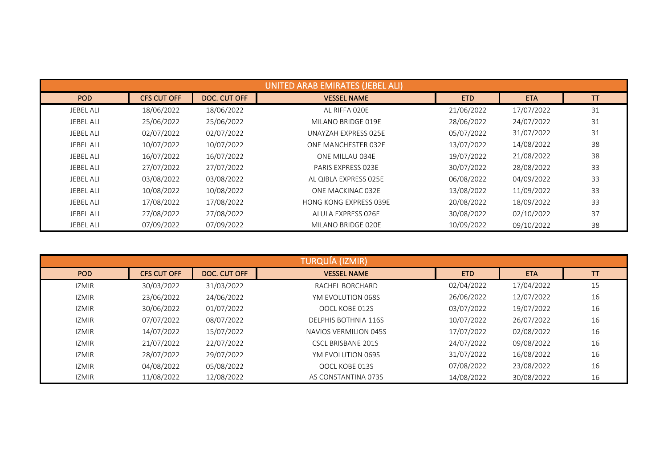|                  |                    |              | UNITED ARAB EMIRATES (JEBEL ALI) |            |            |    |
|------------------|--------------------|--------------|----------------------------------|------------|------------|----|
| <b>POD</b>       | <b>CFS CUT OFF</b> | DOC. CUT OFF | <b>VESSEL NAME</b>               | <b>ETD</b> | <b>ETA</b> | T  |
| <b>JEBEL ALI</b> | 18/06/2022         | 18/06/2022   | AL RIFFA 020E                    | 21/06/2022 | 17/07/2022 | 31 |
| <b>JEBEL ALI</b> | 25/06/2022         | 25/06/2022   | MILANO BRIDGE 019E               | 28/06/2022 | 24/07/2022 | 31 |
| <b>JEBEL ALI</b> | 02/07/2022         | 02/07/2022   | UNAYZAH EXPRESS 025E             | 05/07/2022 | 31/07/2022 | 31 |
| <b>JEBEL ALI</b> | 10/07/2022         | 10/07/2022   | ONE MANCHESTER 032E              | 13/07/2022 | 14/08/2022 | 38 |
| <b>JEBEL ALI</b> | 16/07/2022         | 16/07/2022   | ONE MILLAU 034E                  | 19/07/2022 | 21/08/2022 | 38 |
| <b>JEBEL ALI</b> | 27/07/2022         | 27/07/2022   | PARIS EXPRESS 023E               | 30/07/2022 | 28/08/2022 | 33 |
| <b>JEBEL ALI</b> | 03/08/2022         | 03/08/2022   | AL QIBLA EXPRESS 025E            | 06/08/2022 | 04/09/2022 | 33 |
| <b>JEBEL ALI</b> | 10/08/2022         | 10/08/2022   | ONE MACKINAC 032E                | 13/08/2022 | 11/09/2022 | 33 |
| <b>JEBEL ALI</b> | 17/08/2022         | 17/08/2022   | <b>HONG KONG EXPRESS 039E</b>    | 20/08/2022 | 18/09/2022 | 33 |
| <b>JEBEL ALI</b> | 27/08/2022         | 27/08/2022   | ALULA EXPRESS 026E               | 30/08/2022 | 02/10/2022 | 37 |
| <b>JEBEL ALI</b> | 07/09/2022         | 07/09/2022   | MILANO BRIDGE 020E               | 10/09/2022 | 09/10/2022 | 38 |

|              | TURQUÍA (IZMIR)    |              |                             |            |            |    |  |  |  |
|--------------|--------------------|--------------|-----------------------------|------------|------------|----|--|--|--|
| POD          | <b>CFS CUT OFF</b> | DOC. CUT OFF | <b>VESSEL NAME</b>          | <b>ETD</b> | <b>ETA</b> | TT |  |  |  |
| <b>IZMIR</b> | 30/03/2022         | 31/03/2022   | RACHEL BORCHARD             | 02/04/2022 | 17/04/2022 | 15 |  |  |  |
| <b>IZMIR</b> | 23/06/2022         | 24/06/2022   | YM EVOLUTION 068S           | 26/06/2022 | 12/07/2022 | 16 |  |  |  |
| <b>IZMIR</b> | 30/06/2022         | 01/07/2022   | OOCL KOBE 012S              | 03/07/2022 | 19/07/2022 | 16 |  |  |  |
| <b>IZMIR</b> | 07/07/2022         | 08/07/2022   | <b>DELPHIS BOTHNIA 116S</b> | 10/07/2022 | 26/07/2022 | 16 |  |  |  |
| <b>IZMIR</b> | 14/07/2022         | 15/07/2022   | NAVIOS VERMILION 045S       | 17/07/2022 | 02/08/2022 | 16 |  |  |  |
| <b>IZMIR</b> | 21/07/2022         | 22/07/2022   | <b>CSCL BRISBANE 201S</b>   | 24/07/2022 | 09/08/2022 | 16 |  |  |  |
| <b>IZMIR</b> | 28/07/2022         | 29/07/2022   | YM EVOLUTION 069S           | 31/07/2022 | 16/08/2022 | 16 |  |  |  |
| <b>IZMIR</b> | 04/08/2022         | 05/08/2022   | OOCL KOBE 013S              | 07/08/2022 | 23/08/2022 | 16 |  |  |  |
| <b>IZMIR</b> | 11/08/2022         | 12/08/2022   | AS CONSTANTINA 073S         | 14/08/2022 | 30/08/2022 | 16 |  |  |  |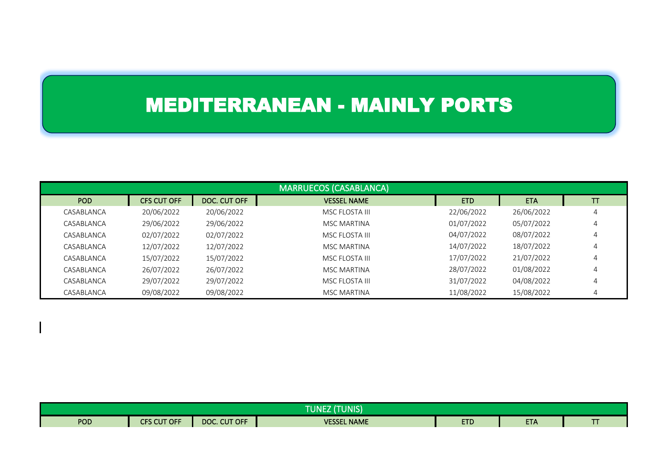## MEDITERRANEAN - MAINLY PORTS

|            |                    |              | <b>MARRUECOS (CASABLANCA)</b> |            |            |                |
|------------|--------------------|--------------|-------------------------------|------------|------------|----------------|
| POD        | <b>CFS CUT OFF</b> | DOC. CUT OFF | <b>VESSEL NAME</b>            | <b>ETD</b> | <b>ETA</b> | TT             |
| CASABLANCA | 20/06/2022         | 20/06/2022   | MSC FLOSTA III                | 22/06/2022 | 26/06/2022 | 4              |
| CASABLANCA | 29/06/2022         | 29/06/2022   | <b>MSC MARTINA</b>            | 01/07/2022 | 05/07/2022 | $\overline{4}$ |
| CASABLANCA | 02/07/2022         | 02/07/2022   | MSC FLOSTA III                | 04/07/2022 | 08/07/2022 | $\overline{4}$ |
| CASABLANCA | 12/07/2022         | 12/07/2022   | <b>MSC MARTINA</b>            | 14/07/2022 | 18/07/2022 | 4              |
| CASABLANCA | 15/07/2022         | 15/07/2022   | MSC FLOSTA III                | 17/07/2022 | 21/07/2022 | 4              |
| CASABLANCA | 26/07/2022         | 26/07/2022   | MSC MARTINA                   | 28/07/2022 | 01/08/2022 | 4              |
| CASABLANCA | 29/07/2022         | 29/07/2022   | MSC FLOSTA III                | 31/07/2022 | 04/08/2022 | 4              |
| CASABLANCA | 09/08/2022         | 09/08/2022   | <b>MSC MARTINA</b>            | 11/08/2022 | 15/08/2022 | 4              |

| (TUNIS)<br><b>TUNEZ</b> |                    |              |                    |            |            |  |  |
|-------------------------|--------------------|--------------|--------------------|------------|------------|--|--|
| <b>POD</b>              | <b>CFS CUT OFF</b> | DOC. CUT OFF | <b>VESSEL NAME</b> | <b>ETD</b> | <b>ETA</b> |  |  |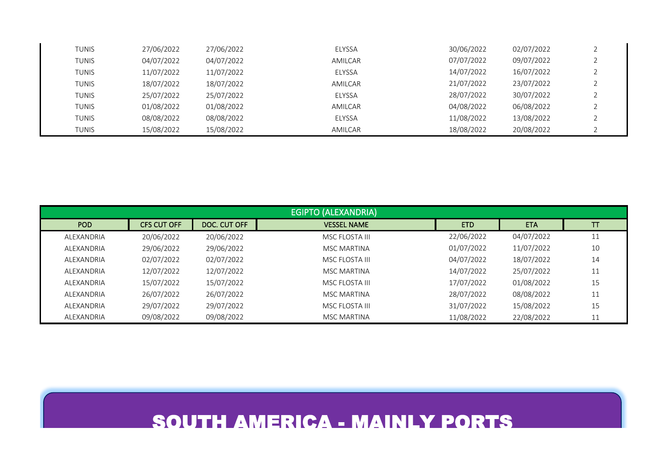| TUNIS        | 27/06/2022 | 27/06/2022 | <b>ELYSSA</b> | 30/06/2022 | 02/07/2022 |  |
|--------------|------------|------------|---------------|------------|------------|--|
| TUNIS        | 04/07/2022 | 04/07/2022 | AMILCAR       | 07/07/2022 | 09/07/2022 |  |
| <b>TUNIS</b> | 11/07/2022 | 11/07/2022 | ELYSSA        | 14/07/2022 | 16/07/2022 |  |
| TUNIS        | 18/07/2022 | 18/07/2022 | AMILCAR       | 21/07/2022 | 23/07/2022 |  |
| TUNIS        | 25/07/2022 | 25/07/2022 | <b>ELYSSA</b> | 28/07/2022 | 30/07/2022 |  |
| <b>TUNIS</b> | 01/08/2022 | 01/08/2022 | AMILCAR       | 04/08/2022 | 06/08/2022 |  |
| TUNIS        | 08/08/2022 | 08/08/2022 | <b>ELYSSA</b> | 11/08/2022 | 13/08/2022 |  |
| TUNIS        | 15/08/2022 | 15/08/2022 | AMILCAR       | 18/08/2022 | 20/08/2022 |  |

|            |                    |              | <b>EGIPTO (ALEXANDRIA)</b> |            |            |    |
|------------|--------------------|--------------|----------------------------|------------|------------|----|
| <b>POD</b> | <b>CFS CUT OFF</b> | DOC. CUT OFF | <b>VESSEL NAME</b>         | <b>ETD</b> | <b>ETA</b> | T  |
| ALEXANDRIA | 20/06/2022         | 20/06/2022   | MSC FLOSTA III             | 22/06/2022 | 04/07/2022 | 11 |
| ALEXANDRIA | 29/06/2022         | 29/06/2022   | <b>MSC MARTINA</b>         | 01/07/2022 | 11/07/2022 | 10 |
| ALEXANDRIA | 02/07/2022         | 02/07/2022   | MSC FLOSTA III             | 04/07/2022 | 18/07/2022 | 14 |
| ALEXANDRIA | 12/07/2022         | 12/07/2022   | <b>MSC MARTINA</b>         | 14/07/2022 | 25/07/2022 | 11 |
| ALEXANDRIA | 15/07/2022         | 15/07/2022   | MSC FLOSTA III             | 17/07/2022 | 01/08/2022 | 15 |
| ALEXANDRIA | 26/07/2022         | 26/07/2022   | MSC MARTINA                | 28/07/2022 | 08/08/2022 | 11 |
| ALEXANDRIA | 29/07/2022         | 29/07/2022   | MSC FLOSTA III             | 31/07/2022 | 15/08/2022 | 15 |
| ALEXANDRIA | 09/08/2022         | 09/08/2022   | MSC MARTINA                | 11/08/2022 | 22/08/2022 | 11 |

#### SOUTH AMERICA - MAINLY PORTS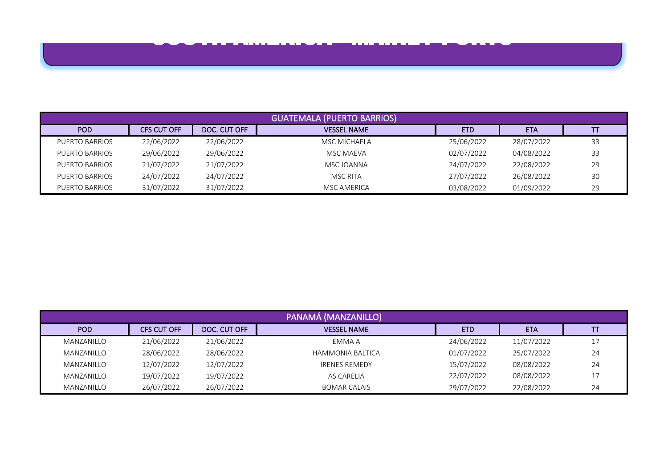

|                |                    |              | <b>GUATEMALA (PUERTO BARRIOS)</b> |            |            |    |
|----------------|--------------------|--------------|-----------------------------------|------------|------------|----|
| POD            | <b>CFS CUT OFF</b> | DOC. CUT OFF | <b>VESSEL NAME</b>                | <b>ETD</b> | <b>ETA</b> |    |
| PUERTO BARRIOS | 22/06/2022         | 22/06/2022   | MSC MICHAELA                      | 25/06/2022 | 28/07/2022 | 33 |
| PUERTO BARRIOS | 29/06/2022         | 29/06/2022   | MSC MAEVA                         | 02/07/2022 | 04/08/2022 | 33 |
| PUERTO BARRIOS | 21/07/2022         | 21/07/2022   | MSC JOANNA                        | 24/07/2022 | 22/08/2022 | 29 |
| PUERTO BARRIOS | 24/07/2022         | 24/07/2022   | <b>MSC RITA</b>                   | 27/07/2022 | 26/08/2022 | 30 |
| PUERTO BARRIOS | 31/07/2022         | 31/07/2022   | <b>MSC AMERICA</b>                | 03/08/2022 | 01/09/2022 | 29 |

|            |                    |              | PANAMÁ (MANZANILLO)     |            |            |    |
|------------|--------------------|--------------|-------------------------|------------|------------|----|
| POD        | <b>CFS CUT OFF</b> | DOC. CUT OFF | <b>VESSEL NAME</b>      | <b>ETD</b> | <b>ETA</b> |    |
| MANZANILLO | 21/06/2022         | 21/06/2022   | EMMA A                  | 24/06/2022 | 11/07/2022 |    |
| MANZANILLO | 28/06/2022         | 28/06/2022   | <b>HAMMONIA BALTICA</b> | 01/07/2022 | 25/07/2022 | 24 |
| MANZANILLO | 12/07/2022         | 12/07/2022   | <b>IRENES REMEDY</b>    | 15/07/2022 | 08/08/2022 | 24 |
| MANZANILLO | 19/07/2022         | 19/07/2022   | AS CARELIA              | 22/07/2022 | 08/08/2022 |    |
| MANZANILLO | 26/07/2022         | 26/07/2022   | <b>BOMAR CALAIS</b>     | 29/07/2022 | 22/08/2022 | 24 |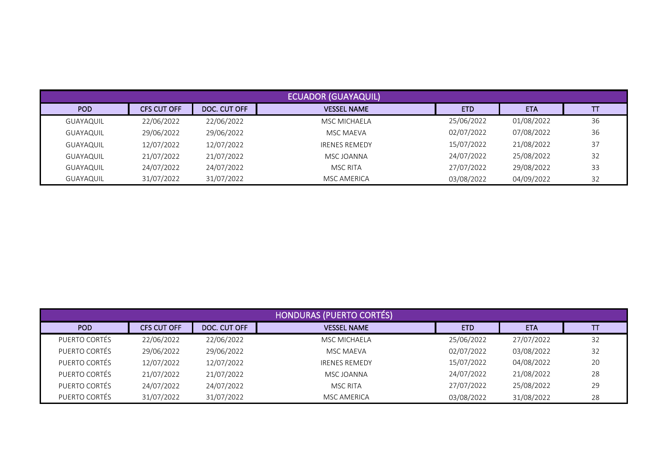|                  |                    |              | <b>ECUADOR (GUAYAQUIL)</b> |            |            |    |
|------------------|--------------------|--------------|----------------------------|------------|------------|----|
| POD              | <b>CFS CUT OFF</b> | DOC. CUT OFF | <b>VESSEL NAME</b>         | <b>ETD</b> | <b>ETA</b> |    |
| <b>GUAYAQUIL</b> | 22/06/2022         | 22/06/2022   | MSC MICHAELA               | 25/06/2022 | 01/08/2022 | 36 |
| <b>GUAYAQUIL</b> | 29/06/2022         | 29/06/2022   | MSC MAEVA                  | 02/07/2022 | 07/08/2022 | 36 |
| <b>GUAYAQUIL</b> | 12/07/2022         | 12/07/2022   | <b>IRENES REMEDY</b>       | 15/07/2022 | 21/08/2022 | 37 |
| <b>GUAYAQUIL</b> | 21/07/2022         | 21/07/2022   | MSC JOANNA                 | 24/07/2022 | 25/08/2022 | 32 |
| <b>GUAYAQUIL</b> | 24/07/2022         | 24/07/2022   | MSC RITA                   | 27/07/2022 | 29/08/2022 | 33 |
| <b>GUAYAQUIL</b> | 31/07/2022         | 31/07/2022   | MSC AMERICA                | 03/08/2022 | 04/09/2022 | 32 |

|               |                    |              | <b>HONDURAS (PUERTO CORTÉS)</b> |            |            |    |
|---------------|--------------------|--------------|---------------------------------|------------|------------|----|
| POD           | <b>CFS CUT OFF</b> | DOC. CUT OFF | <b>VESSEL NAME</b>              | <b>ETD</b> | <b>ETA</b> |    |
| PUERTO CORTÉS | 22/06/2022         | 22/06/2022   | <b>MSC MICHAELA</b>             | 25/06/2022 | 27/07/2022 | 32 |
| PUERTO CORTÉS | 29/06/2022         | 29/06/2022   | MSC MAEVA                       | 02/07/2022 | 03/08/2022 | 32 |
| PUERTO CORTÉS | 12/07/2022         | 12/07/2022   | <b>IRENES REMEDY</b>            | 15/07/2022 | 04/08/2022 | 20 |
| PUERTO CORTÉS | 21/07/2022         | 21/07/2022   | MSC JOANNA                      | 24/07/2022 | 21/08/2022 | 28 |
| PUERTO CORTÉS | 24/07/2022         | 24/07/2022   | <b>MSC RITA</b>                 | 27/07/2022 | 25/08/2022 | 29 |
| PUERTO CORTÉS | 31/07/2022         | 31/07/2022   | MSC AMERICA                     | 03/08/2022 | 31/08/2022 | 28 |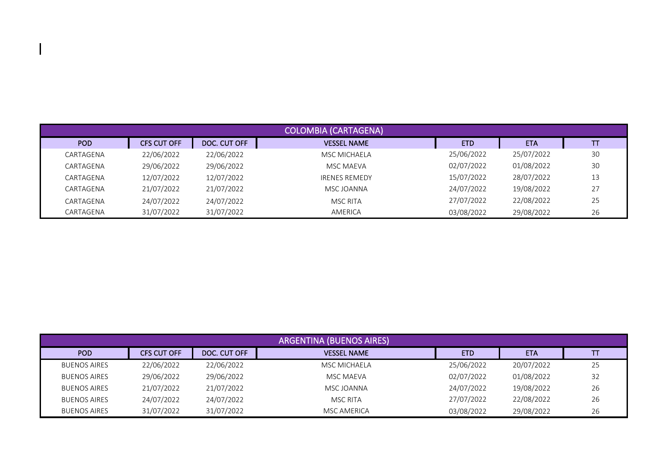|           |             |              | <b>COLOMBIA (CARTAGENA)</b> |            |            |    |
|-----------|-------------|--------------|-----------------------------|------------|------------|----|
| POD       | CFS CUT OFF | DOC. CUT OFF | <b>VESSEL NAME</b>          | <b>ETD</b> | <b>ETA</b> | TΤ |
| CARTAGENA | 22/06/2022  | 22/06/2022   | MSC MICHAELA                | 25/06/2022 | 25/07/2022 | 30 |
| CARTAGENA | 29/06/2022  | 29/06/2022   | MSC MAEVA                   | 02/07/2022 | 01/08/2022 | 30 |
| CARTAGENA | 12/07/2022  | 12/07/2022   | <b>IRENES REMEDY</b>        | 15/07/2022 | 28/07/2022 | 13 |
| CARTAGENA | 21/07/2022  | 21/07/2022   | MSC JOANNA                  | 24/07/2022 | 19/08/2022 | 27 |
| CARTAGENA | 24/07/2022  | 24/07/2022   | <b>MSC RITA</b>             | 27/07/2022 | 22/08/2022 | 25 |
| CARTAGENA | 31/07/2022  | 31/07/2022   | AMERICA                     | 03/08/2022 | 29/08/2022 | 26 |

|                     |             |              | <b>ARGENTINA (BUENOS AIRES)</b> |            |            |    |
|---------------------|-------------|--------------|---------------------------------|------------|------------|----|
| POD                 | CFS CUT OFF | DOC. CUT OFF | <b>VESSEL NAME</b>              | <b>ETD</b> | <b>ETA</b> |    |
| <b>BUENOS AIRES</b> | 22/06/2022  | 22/06/2022   | MSC MICHAELA                    | 25/06/2022 | 20/07/2022 | 25 |
| <b>BUENOS AIRES</b> | 29/06/2022  | 29/06/2022   | <b>MSC MAEVA</b>                | 02/07/2022 | 01/08/2022 | 32 |
| <b>BUENOS AIRES</b> | 21/07/2022  | 21/07/2022   | MSC JOANNA                      | 24/07/2022 | 19/08/2022 | 26 |
| <b>BUENOS AIRES</b> | 24/07/2022  | 24/07/2022   | MSC RITA                        | 27/07/2022 | 22/08/2022 | 26 |
| <b>BUENOS AIRES</b> | 31/07/2022  | 31/07/2022   | <b>MSC AMERICA</b>              | 03/08/2022 | 29/08/2022 | 26 |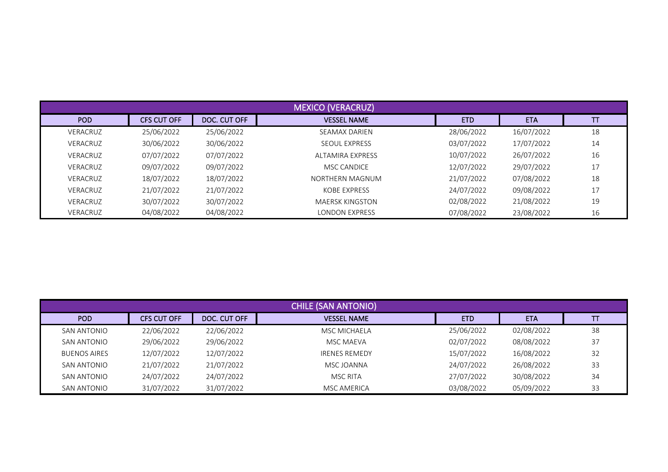|          |                    |              | <b>MEXICO (VERACRUZ)</b> |            |            |          |
|----------|--------------------|--------------|--------------------------|------------|------------|----------|
| POD      | <b>CFS CUT OFF</b> | DOC. CUT OFF | <b>VESSEL NAME</b>       | <b>ETD</b> | <b>ETA</b> | ΤΤ       |
| VERACRUZ | 25/06/2022         | 25/06/2022   | <b>SEAMAX DARIEN</b>     | 28/06/2022 | 16/07/2022 | 18       |
| VERACRUZ | 30/06/2022         | 30/06/2022   | <b>SEQUL EXPRESS</b>     | 03/07/2022 | 17/07/2022 | 14       |
| VERACRUZ | 07/07/2022         | 07/07/2022   | ALTAMIRA EXPRESS         | 10/07/2022 | 26/07/2022 | 16       |
| VERACRUZ | 09/07/2022         | 09/07/2022   | <b>MSC CANDICE</b>       | 12/07/2022 | 29/07/2022 | 17<br>ш, |
| VERACRUZ | 18/07/2022         | 18/07/2022   | NORTHERN MAGNUM          | 21/07/2022 | 07/08/2022 | 18       |
| VERACRUZ | 21/07/2022         | 21/07/2022   | KOBE EXPRESS             | 24/07/2022 | 09/08/2022 | 17<br>ш, |
| VERACRUZ | 30/07/2022         | 30/07/2022   | MAERSK KINGSTON          | 02/08/2022 | 21/08/2022 | 19       |
| VERACRUZ | 04/08/2022         | 04/08/2022   | LONDON EXPRESS           | 07/08/2022 | 23/08/2022 | 16       |

|                     |                    |              | <b>CHILE (SAN ANTONIO)</b> |            |            |    |
|---------------------|--------------------|--------------|----------------------------|------------|------------|----|
| <b>POD</b>          | <b>CFS CUT OFF</b> | DOC. CUT OFF | <b>VESSEL NAME</b>         | <b>ETD</b> | <b>ETA</b> | π  |
| SAN ANTONIO         | 22/06/2022         | 22/06/2022   | <b>MSC MICHAELA</b>        | 25/06/2022 | 02/08/2022 | 38 |
| SAN ANTONIO         | 29/06/2022         | 29/06/2022   | MSC MAEVA                  | 02/07/2022 | 08/08/2022 | 37 |
| <b>BUENOS AIRES</b> | 12/07/2022         | 12/07/2022   | <b>IRENES REMEDY</b>       | 15/07/2022 | 16/08/2022 | 32 |
| SAN ANTONIO         | 21/07/2022         | 21/07/2022   | MSC JOANNA                 | 24/07/2022 | 26/08/2022 | 33 |
| SAN ANTONIO         | 24/07/2022         | 24/07/2022   | <b>MSC RITA</b>            | 27/07/2022 | 30/08/2022 | 34 |
| <b>SAN ANTONIO</b>  | 31/07/2022         | 31/07/2022   | MSC AMERICA                | 03/08/2022 | 05/09/2022 | 33 |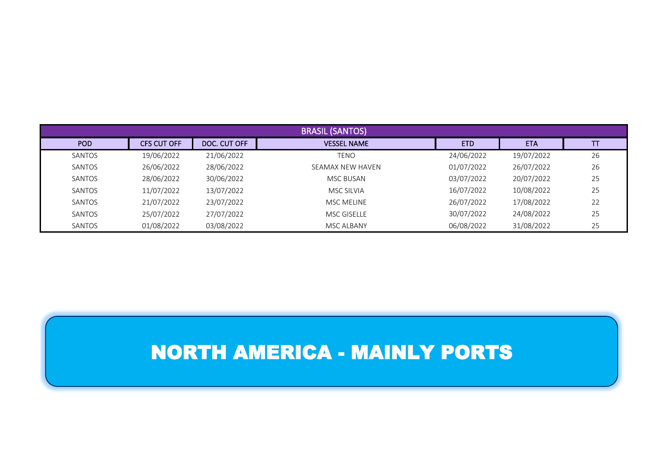|        |                    |              | <b>BRASIL (SANTOS)</b> |            |            |    |
|--------|--------------------|--------------|------------------------|------------|------------|----|
| POD    | <b>CFS CUT OFF</b> | DOC. CUT OFF | <b>VESSEL NAME</b>     | <b>ETD</b> | <b>ETA</b> | TΤ |
| SANTOS | 19/06/2022         | 21/06/2022   | <b>TENO</b>            | 24/06/2022 | 19/07/2022 | 26 |
| SANTOS | 26/06/2022         | 28/06/2022   | SEAMAX NEW HAVEN       | 01/07/2022 | 26/07/2022 | 26 |
| SANTOS | 28/06/2022         | 30/06/2022   | MSC BUSAN              | 03/07/2022 | 20/07/2022 | 25 |
| SANTOS | 11/07/2022         | 13/07/2022   | MSC SILVIA             | 16/07/2022 | 10/08/2022 | 25 |
| SANTOS | 21/07/2022         | 23/07/2022   | <b>MSC MELINE</b>      | 26/07/2022 | 17/08/2022 | 22 |
| SANTOS | 25/07/2022         | 27/07/2022   | <b>MSC GISELLE</b>     | 30/07/2022 | 24/08/2022 | 25 |
| SANTOS | 01/08/2022         | 03/08/2022   | MSC ALBANY             | 06/08/2022 | 31/08/2022 | 25 |

#### NORTH AMERICA - MAINLY PORTS